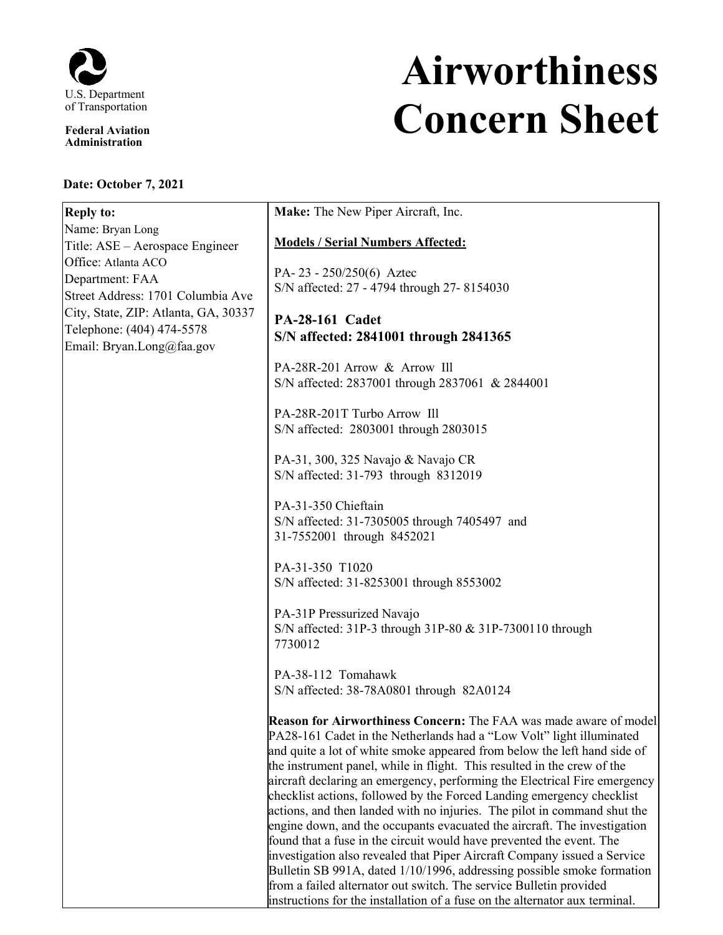

**Federal Aviation Administration**

## **Date: October 7, 2021**

## **Airworthiness Concern Sheet**

| <b>Models / Serial Numbers Affected:</b><br>PA-23 - 250/250(6) Aztec<br>S/N affected: 27 - 4794 through 27-8154030<br><b>PA-28-161 Cadet</b><br>S/N affected: 2841001 through 2841365                                                                                                                                                                                                                                                                                                                                                                                                                                                                                                                                                                                                                                                                                                                                     |
|---------------------------------------------------------------------------------------------------------------------------------------------------------------------------------------------------------------------------------------------------------------------------------------------------------------------------------------------------------------------------------------------------------------------------------------------------------------------------------------------------------------------------------------------------------------------------------------------------------------------------------------------------------------------------------------------------------------------------------------------------------------------------------------------------------------------------------------------------------------------------------------------------------------------------|
|                                                                                                                                                                                                                                                                                                                                                                                                                                                                                                                                                                                                                                                                                                                                                                                                                                                                                                                           |
|                                                                                                                                                                                                                                                                                                                                                                                                                                                                                                                                                                                                                                                                                                                                                                                                                                                                                                                           |
|                                                                                                                                                                                                                                                                                                                                                                                                                                                                                                                                                                                                                                                                                                                                                                                                                                                                                                                           |
| PA-28R-201 Arrow & Arrow Ill<br>S/N affected: 2837001 through 2837061 & 2844001                                                                                                                                                                                                                                                                                                                                                                                                                                                                                                                                                                                                                                                                                                                                                                                                                                           |
| PA-28R-201T Turbo Arrow Ill<br>S/N affected: 2803001 through 2803015                                                                                                                                                                                                                                                                                                                                                                                                                                                                                                                                                                                                                                                                                                                                                                                                                                                      |
| PA-31, 300, 325 Navajo & Navajo CR<br>S/N affected: 31-793 through 8312019                                                                                                                                                                                                                                                                                                                                                                                                                                                                                                                                                                                                                                                                                                                                                                                                                                                |
| PA-31-350 Chieftain<br>S/N affected: 31-7305005 through 7405497 and<br>31-7552001 through 8452021                                                                                                                                                                                                                                                                                                                                                                                                                                                                                                                                                                                                                                                                                                                                                                                                                         |
| PA-31-350 T1020<br>S/N affected: 31-8253001 through 8553002                                                                                                                                                                                                                                                                                                                                                                                                                                                                                                                                                                                                                                                                                                                                                                                                                                                               |
| PA-31P Pressurized Navajo<br>S/N affected: 31P-3 through 31P-80 & 31P-7300110 through<br>7730012                                                                                                                                                                                                                                                                                                                                                                                                                                                                                                                                                                                                                                                                                                                                                                                                                          |
| PA-38-112 Tomahawk<br>S/N affected: 38-78A0801 through 82A0124                                                                                                                                                                                                                                                                                                                                                                                                                                                                                                                                                                                                                                                                                                                                                                                                                                                            |
| <b>Reason for Airworthiness Concern:</b> The FAA was made aware of model<br>PA28-161 Cadet in the Netherlands had a "Low Volt" light illuminated<br>and quite a lot of white smoke appeared from below the left hand side of<br>the instrument panel, while in flight. This resulted in the crew of the<br>aircraft declaring an emergency, performing the Electrical Fire emergency<br>checklist actions, followed by the Forced Landing emergency checklist<br>actions, and then landed with no injuries. The pilot in command shut the<br>engine down, and the occupants evacuated the aircraft. The investigation<br>found that a fuse in the circuit would have prevented the event. The<br>investigation also revealed that Piper Aircraft Company issued a Service<br>Bulletin SB 991A, dated 1/10/1996, addressing possible smoke formation<br>from a failed alternator out switch. The service Bulletin provided |
| instructions for the installation of a fuse on the alternator aux terminal.                                                                                                                                                                                                                                                                                                                                                                                                                                                                                                                                                                                                                                                                                                                                                                                                                                               |